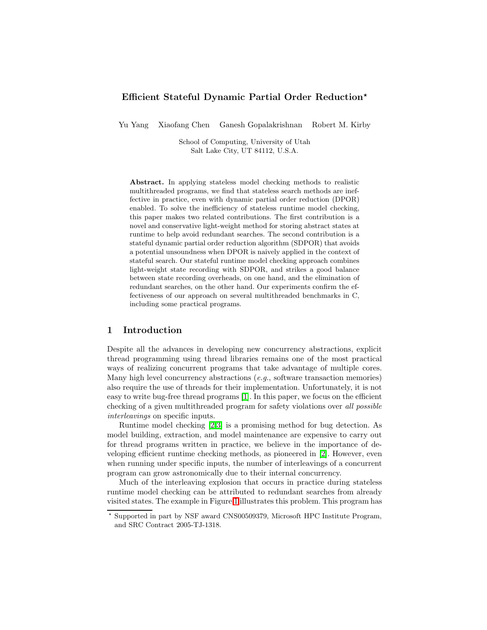# Efficient Stateful Dynamic Partial Order Reduction?

Yu Yang Xiaofang Chen Ganesh Gopalakrishnan Robert M. Kirby

School of Computing, University of Utah Salt Lake City, UT 84112, U.S.A.

Abstract. In applying stateless model checking methods to realistic multithreaded programs, we find that stateless search methods are ineffective in practice, even with dynamic partial order reduction (DPOR) enabled. To solve the inefficiency of stateless runtime model checking, this paper makes two related contributions. The first contribution is a novel and conservative light-weight method for storing abstract states at runtime to help avoid redundant searches. The second contribution is a stateful dynamic partial order reduction algorithm (SDPOR) that avoids a potential unsoundness when DPOR is naively applied in the context of stateful search. Our stateful runtime model checking approach combines light-weight state recording with SDPOR, and strikes a good balance between state recording overheads, on one hand, and the elimination of redundant searches, on the other hand. Our experiments confirm the effectiveness of our approach on several multithreaded benchmarks in C, including some practical programs.

## <span id="page-0-0"></span>1 Introduction

Despite all the advances in developing new concurrency abstractions, explicit thread programming using thread libraries remains one of the most practical ways of realizing concurrent programs that take advantage of multiple cores. Many high level concurrency abstractions  $(e.g.,$  software transaction memories) also require the use of threads for their implementation. Unfortunately, it is not easy to write bug-free thread programs [\[1\]](#page-14-0). In this paper, we focus on the efficient checking of a given multithreaded program for safety violations over all possible interleavings on specific inputs.

Runtime model checking [\[2,](#page-14-1)[3\]](#page-14-2) is a promising method for bug detection. As model building, extraction, and model maintenance are expensive to carry out for thread programs written in practice, we believe in the importance of developing efficient runtime checking methods, as pioneered in [\[2\]](#page-14-1). However, even when running under specific inputs, the number of interleavings of a concurrent program can grow astronomically due to their internal concurrency.

Much of the interleaving explosion that occurs in practice during stateless runtime model checking can be attributed to redundant searches from already visited states. The example in Figure [1](#page-1-0) illustrates this problem. This program has

<sup>?</sup> Supported in part by NSF award CNS00509379, Microsoft HPC Institute Program, and SRC Contract 2005-TJ-1318.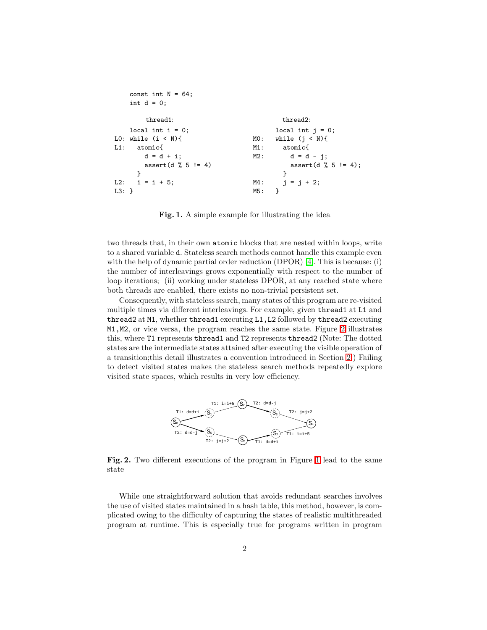```
const int N = 64;
  int d = 0;
    thread1: thread2:
  local int i = 0; local int j = 0;L0: while (i < N){ M0: while (j < N){
L1: atomic{ M1: atomic{
    d = d + i; M2: d = d - j;\text{assert}(d \ \text{% 5 } != 4) assert(d \ \text{% 5 } != 4);} }
L2: i = i + 5; M4: j = j + 2;L3: } M5: }
```
<span id="page-1-0"></span>Fig. 1. A simple example for illustrating the idea

two threads that, in their own atomic blocks that are nested within loops, write to a shared variable d. Stateless search methods cannot handle this example even with the help of dynamic partial order reduction (DPOR) [\[4\]](#page-14-3). This is because: (i) the number of interleavings grows exponentially with respect to the number of loop iterations; (ii) working under stateless DPOR, at any reached state where both threads are enabled, there exists no non-trivial persistent set.

Consequently, with stateless search, many states of this program are re-visited multiple times via different interleavings. For example, given thread1 at L1 and thread2 at M1, whether thread1 executing L1,L2 followed by thread2 executing M1,M2, or vice versa, the program reaches the same state. Figure [2](#page-1-1) illustrates this, where T1 represents thread1 and T2 represents thread2 (Note: The dotted states are the intermediate states attained after executing the visible operation of a transition;this detail illustrates a convention introduced in Section [2.](#page-3-0)) Failing to detect visited states makes the stateless search methods repeatedly explore visited state spaces, which results in very low efficiency.



<span id="page-1-1"></span>Fig. 2. Two different executions of the program in Figure [1](#page-1-0) lead to the same state

While one straightforward solution that avoids redundant searches involves the use of visited states maintained in a hash table, this method, however, is complicated owing to the difficulty of capturing the states of realistic multithreaded program at runtime. This is especially true for programs written in program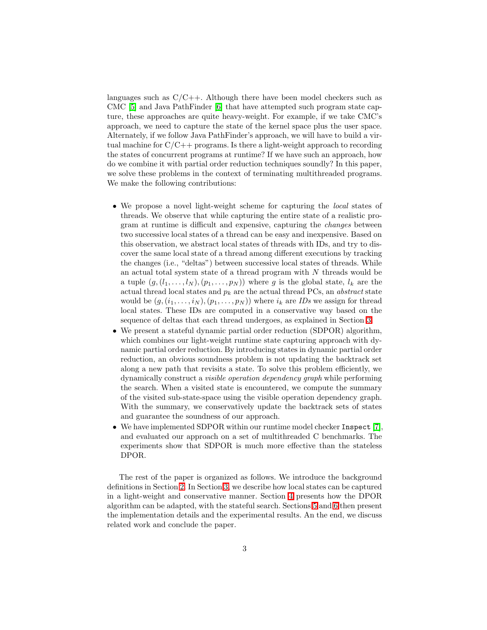languages such as  $C/C++$ . Although there have been model checkers such as CMC [\[5\]](#page-14-4) and Java PathFinder [\[6\]](#page-14-5) that have attempted such program state capture, these approaches are quite heavy-weight. For example, if we take CMC's approach, we need to capture the state of the kernel space plus the user space. Alternately, if we follow Java PathFinder's approach, we will have to build a virtual machine for  $C/C++$  programs. Is there a light-weight approach to recording the states of concurrent programs at runtime? If we have such an approach, how do we combine it with partial order reduction techniques soundly? In this paper, we solve these problems in the context of terminating multithreaded programs. We make the following contributions:

- We propose a novel light-weight scheme for capturing the *local* states of threads. We observe that while capturing the entire state of a realistic program at runtime is difficult and expensive, capturing the changes between two successive local states of a thread can be easy and inexpensive. Based on this observation, we abstract local states of threads with IDs, and try to discover the same local state of a thread among different executions by tracking the changes (i.e., "deltas") between successive local states of threads. While an actual total system state of a thread program with  $N$  threads would be a tuple  $(g, (l_1, \ldots, l_N), (p_1, \ldots, p_N))$  where g is the global state,  $l_k$  are the actual thread local states and  $p_k$  are the actual thread PCs, an *abstract* state would be  $(g,(i_1,\ldots,i_N),(p_1,\ldots,p_N))$  where  $i_k$  are *IDs* we assign for thread local states. These IDs are computed in a conservative way based on the sequence of deltas that each thread undergoes, as explained in Section [3.](#page-4-0)
- We present a stateful dynamic partial order reduction (SDPOR) algorithm, which combines our light-weight runtime state capturing approach with dynamic partial order reduction. By introducing states in dynamic partial order reduction, an obvious soundness problem is not updating the backtrack set along a new path that revisits a state. To solve this problem efficiently, we dynamically construct a visible operation dependency graph while performing the search. When a visited state is encountered, we compute the summary of the visited sub-state-space using the visible operation dependency graph. With the summary, we conservatively update the backtrack sets of states and guarantee the soundness of our approach.
- We have implemented SDPOR within our runtime model checker Inspect [\[7\]](#page-14-6), and evaluated our approach on a set of multithreaded C benchmarks. The experiments show that SDPOR is much more effective than the stateless DPOR.

The rest of the paper is organized as follows. We introduce the background definitions in Section [2.](#page-3-0) In Section [3,](#page-4-0) we describe how local states can be captured in a light-weight and conservative manner. Section [4](#page-6-0) presents how the DPOR algorithm can be adapted, with the stateful search. Sections [5](#page-12-0) and [6](#page-12-1) then present the implementation details and the experimental results. An the end, we discuss related work and conclude the paper.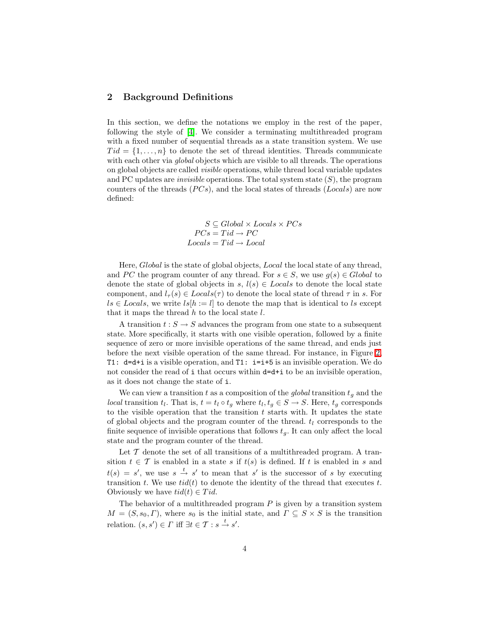### <span id="page-3-0"></span>2 Background Definitions

In this section, we define the notations we employ in the rest of the paper, following the style of [\[4\]](#page-14-3). We consider a terminating multithreaded program with a fixed number of sequential threads as a state transition system. We use  $Tid = \{1, \ldots, n\}$  to denote the set of thread identities. Threads communicate with each other via *global* objects which are visible to all threads. The operations on global objects are called visible operations, while thread local variable updates and PC updates are *invisible* operations. The total system state  $(S)$ , the program counters of the threads  $(PCs)$ , and the local states of threads  $(Locals)$  are now defined:

$$
S \subseteq Global \times Locals \times PCs
$$
  
\n
$$
PCs = Tid \rightarrow PC
$$
  
\n
$$
Locals = Tid \rightarrow Local
$$

Here, Global is the state of global objects, Local the local state of any thread, and PC the program counter of any thread. For  $s \in S$ , we use  $q(s) \in Global$  to denote the state of global objects in s,  $l(s) \in \text{Locals}$  to denote the local state component, and  $l_{\tau}(s) \in Locals(\tau)$  to denote the local state of thread  $\tau$  in s. For  $ls \in Locals$ , we write  $ls[h := l]$  to denote the map that is identical to ls except that it maps the thread  $h$  to the local state  $l$ .

A transition  $t : S \to S$  advances the program from one state to a subsequent state. More specifically, it starts with one visible operation, followed by a finite sequence of zero or more invisible operations of the same thread, and ends just before the next visible operation of the same thread. For instance, in Figure [2,](#page-1-1) T1:  $d=d+i$  is a visible operation, and T1:  $i=i+5$  is an invisible operation. We do not consider the read of i that occurs within  $d=d+i$  to be an invisible operation, as it does not change the state of i.

We can view a transition t as a composition of the global transition  $t_g$  and the *local* transition  $t_l$ . That is,  $t = t_l \circ t_g$  where  $t_l, t_g \in S \to S$ . Here,  $t_g$  corresponds to the visible operation that the transition  $t$  starts with. It updates the state of global objects and the program counter of the thread.  $t_l$  corresponds to the finite sequence of invisible operations that follows  $t<sub>g</sub>$ . It can only affect the local state and the program counter of the thread.

Let  $\mathcal T$  denote the set of all transitions of a multithreaded program. A transition  $t \in \mathcal{T}$  is enabled in a state s if  $t(s)$  is defined. If t is enabled in s and  $t(s) = s'$ , we use  $s \stackrel{t}{\rightarrow} s'$  to mean that s' is the successor of s by executing transition t. We use  $tid(t)$  to denote the identity of the thread that executes t. Obviously we have  $tid(t) \in Tid$ .

The behavior of a multithreaded program  $P$  is given by a transition system  $M = (S, s_0, \Gamma)$ , where  $s_0$  is the initial state, and  $\Gamma \subseteq S \times S$  is the transition relation.  $(s, s') \in \Gamma$  iff  $\exists t \in \mathcal{T} : s \stackrel{t}{\rightarrow} s'.$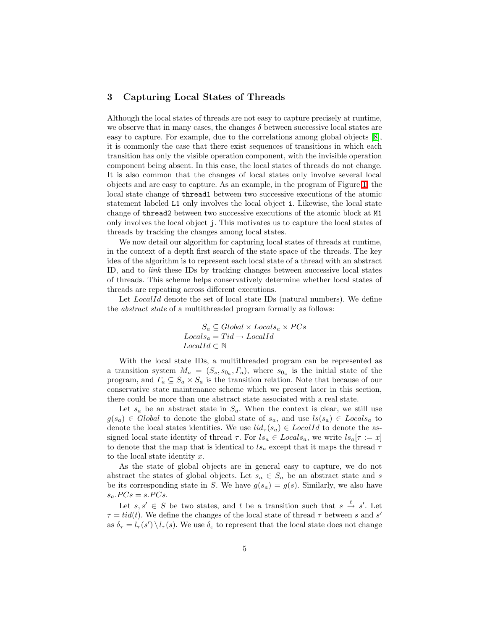# <span id="page-4-0"></span>3 Capturing Local States of Threads

Although the local states of threads are not easy to capture precisely at runtime, we observe that in many cases, the changes  $\delta$  between successive local states are easy to capture. For example, due to the correlations among global objects [\[8\]](#page-14-7), it is commonly the case that there exist sequences of transitions in which each transition has only the visible operation component, with the invisible operation component being absent. In this case, the local states of threads do not change. It is also common that the changes of local states only involve several local objects and are easy to capture. As an example, in the program of Figure [1,](#page-1-0) the local state change of thread1 between two successive executions of the atomic statement labeled L1 only involves the local object i. Likewise, the local state change of thread2 between two successive executions of the atomic block at M1 only involves the local object j. This motivates us to capture the local states of threads by tracking the changes among local states.

We now detail our algorithm for capturing local states of threads at runtime, in the context of a depth first search of the state space of the threads. The key idea of the algorithm is to represent each local state of a thread with an abstract ID, and to link these IDs by tracking changes between successive local states of threads. This scheme helps conservatively determine whether local states of threads are repeating across different executions.

Let *LocalId* denote the set of local state IDs (natural numbers). We define the abstract state of a multithreaded program formally as follows:

$$
S_a \subseteq Global \times Locals_a \times PCs
$$
  
\n
$$
Locals_a = Tid \rightarrow LocalId
$$
  
\n
$$
LocalId \subset \mathbb{N}
$$

With the local state IDs, a multithreaded program can be represented as a transition system  $M_a = (S_s, s_{0_a}, \Gamma_a)$ , where  $s_{0_a}$  is the initial state of the program, and  $\Gamma_a \subseteq S_a \times S_a$  is the transition relation. Note that because of our conservative state maintenance scheme which we present later in this section, there could be more than one abstract state associated with a real state.

Let  $s_a$  be an abstract state in  $S_a$ . When the context is clear, we still use  $g(s_a) \in Global$  to denote the global state of  $s_a$ , and use  $ls(s_a) \in Locals_a$  to denote the local states identities. We use  $lid_{\tau}(s_a) \in LocalId$  to denote the assigned local state identity of thread  $\tau$ . For  $ls_a \in Locals_a$ , we write  $ls_a[\tau := x]$ to denote that the map that is identical to  $ls_a$  except that it maps the thread  $\tau$ to the local state identity x.

As the state of global objects are in general easy to capture, we do not abstract the states of global objects. Let  $s_a \in S_a$  be an abstract state and s be its corresponding state in S. We have  $g(s_a) = g(s)$ . Similarly, we also have  $s_a.PCs = s.PCs.$ 

Let  $s, s' \in S$  be two states, and t be a transition such that  $s \stackrel{t}{\rightarrow} s'$ . Let  $\tau = tid(t)$ . We define the changes of the local state of thread  $\tau$  between s and s' as  $\delta_{\tau} = l_{\tau}(s') \setminus l_{\tau}(s)$ . We use  $\delta_{\varepsilon}$  to represent that the local state does not change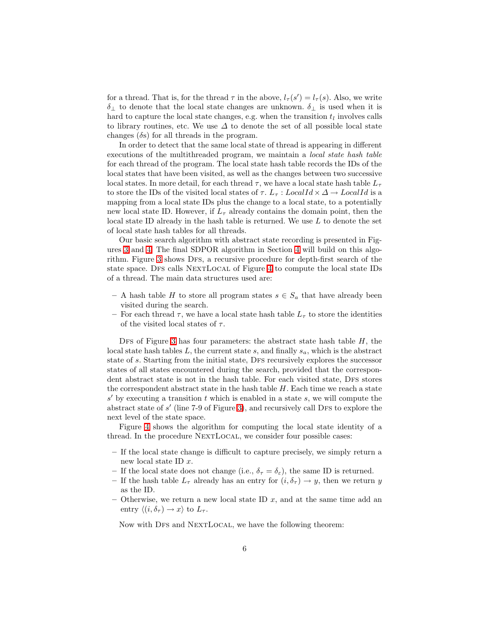for a thread. That is, for the thread  $\tau$  in the above,  $l_{\tau}(s') = l_{\tau}(s)$ . Also, we write  $\delta_{\perp}$  to denote that the local state changes are unknown.  $\delta_{\perp}$  is used when it is hard to capture the local state changes, e.g. when the transition  $t_l$  involves calls to library routines, etc. We use  $\Delta$  to denote the set of all possible local state changes  $(\delta s)$  for all threads in the program.

In order to detect that the same local state of thread is appearing in different executions of the multithreaded program, we maintain a *local state hash table* for each thread of the program. The local state hash table records the IDs of the local states that have been visited, as well as the changes between two successive local states. In more detail, for each thread  $\tau$ , we have a local state hash table  $L_{\tau}$ to store the IDs of the visited local states of  $\tau$ .  $L_{\tau}$ : LocalId  $\times \Delta \rightarrow LocalId$  is a mapping from a local state IDs plus the change to a local state, to a potentially new local state ID. However, if  $L_{\tau}$  already contains the domain point, then the local state ID already in the hash table is returned. We use  $L$  to denote the set of local state hash tables for all threads.

Our basic search algorithm with abstract state recording is presented in Figures [3](#page-6-1) and [4.](#page-6-2) The final SDPOR algorithm in Section [4](#page-6-0) will build on this algorithm. Figure [3](#page-6-1) shows Dfs, a recursive procedure for depth-first search of the state space. DFS calls NEXTLOCAL of Figure [4](#page-6-2) to compute the local state IDs of a thread. The main data structures used are:

- A hash table H to store all program states  $s \in S_a$  that have already been visited during the search.
- For each thread  $\tau$ , we have a local state hash table  $L_{\tau}$  to store the identities of the visited local states of  $\tau$ .

DFs of Figure [3](#page-6-1) has four parameters: the abstract state hash table  $H$ , the local state hash tables L, the current state s, and finally  $s_a$ , which is the abstract state of s. Starting from the initial state, DFS recursively explores the successor states of all states encountered during the search, provided that the correspondent abstract state is not in the hash table. For each visited state, DFS stores the correspondent abstract state in the hash table  $H$ . Each time we reach a state  $s'$  by executing a transition t which is enabled in a state s, we will compute the abstract state of  $s'$  (line 7-9 of Figure [3\)](#page-6-1), and recursively call DFS to explore the next level of the state space.

Figure [4](#page-6-2) shows the algorithm for computing the local state identity of a thread. In the procedure NEXTLOCAL, we consider four possible cases:

- If the local state change is difficult to capture precisely, we simply return a new local state ID x.
- If the local state does not change (i.e.,  $\delta_{\tau} = \delta_{\varepsilon}$ ), the same ID is returned.
- If the hash table  $L_{\tau}$  already has an entry for  $(i, \delta_{\tau}) \rightarrow y$ , then we return y as the ID.
- <span id="page-5-0"></span>– Otherwise, we return a new local state ID  $x$ , and at the same time add an entry  $\langle (i, \delta_\tau) \to x \rangle$  to  $L_\tau$ .

Now with DFS and NEXTLOCAL, we have the following theorem: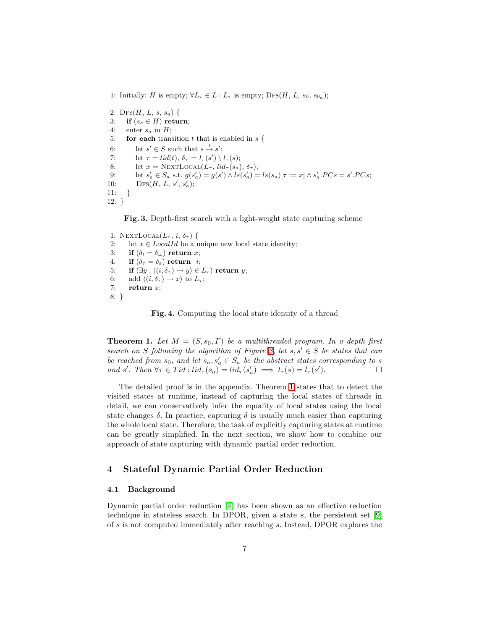1: Initially: H is empty;  $\forall L_{\tau} \in L : L_{\tau}$  is empty;  $DFS(H, L, s_0, s_{0_a})$ ;

2:  $DFS(H, L, s, s_a)$  { 3: if  $(s_a \in H)$  return; 4: enter  $s_a$  in  $H$ ; 5: for each transition t that is enabled in  $s \{$ 6: let  $s' \in S$  such that  $s \stackrel{t}{\rightarrow} s'$ ; 7: let  $\tau = tid(t), \delta_{\tau} = l_{\tau}(s') \setminus l_{\tau}(s);$ 8: let  $x = \text{NextLocal}(L_{\tau}, \text{lid}_{\tau}(s_a), \delta_{\tau});$ 9: let  $s'_a \in S_a$  s.t.  $g(s'_a) = g(s') \wedge ls(s'_a) = ls(s_a)[\tau := x] \wedge s'_a \cdot PCs = s' \cdot PCs;$ 10:  $\text{DFS}(H, L, s', s'_a);$ 11: } 12: }

Fig. 3. Depth-first search with a light-weight state capturing scheme

<span id="page-6-1"></span>1: NEXTLOCAL $(L_{\tau}, i, \delta_{\tau})$  { 2: let  $x \in LocalId$  be a unique new local state identity; 3: if  $(\delta_t = \delta_\perp)$  return x; 4: if  $(\delta_{\tau} = \delta_{\varepsilon})$  return *i*; 5: if  $(\exists y : \langle (i, \delta_{\tau}) \rightarrow y \rangle \in L_{\tau})$  return y; 6: add  $\langle (i, \delta_\tau) \to x \rangle$  to  $L_\tau$ ; 7: return  $x$ ; 8: }

<span id="page-6-2"></span>Fig. 4. Computing the local state identity of a thread

**Theorem 1.** Let  $M = (S, s_0, \Gamma)$  be a multithreaded program. In a depth first search on S following the algorithm of Figure [3,](#page-6-1) let  $s, s' \in S$  be states that can be reached from  $s_0$ , and let  $s_a, s'_a \in S_a$  be the abstract states corresponding to s and s'. Then  $\forall \tau \in Tid : lid_{\tau}(s_a) = lid_{\tau}(s'_a) \implies l_{\tau}(s) = l_{\tau}(s')$  $\Box$ 

The detailed proof is in the appendix. Theorem [1](#page-5-0) states that to detect the visited states at runtime, instead of capturing the local states of threads in detail, we can conservatively infer the equality of local states using the local state changes  $\delta$ . In practice, capturing  $\delta$  is usually much easier than capturing the whole local state. Therefore, the task of explicitly capturing states at runtime can be greatly simplified. In the next section, we show how to combine our approach of state capturing with dynamic partial order reduction.

# <span id="page-6-0"></span>4 Stateful Dynamic Partial Order Reduction

### 4.1 Background

Dynamic partial order reduction [\[4\]](#page-14-3) has been shown as an effective reduction technique in stateless search. In DPOR, given a state  $s$ , the persistent set [\[9\]](#page-14-8) of s is not computed immediately after reaching s. Instead, DPOR explores the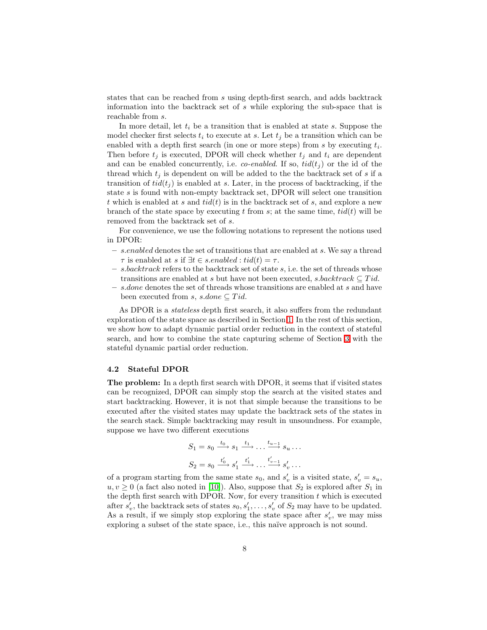states that can be reached from s using depth-first search, and adds backtrack information into the backtrack set of s while exploring the sub-space that is reachable from s.

In more detail, let  $t_i$  be a transition that is enabled at state s. Suppose the model checker first selects  $t_i$  to execute at s. Let  $t_j$  be a transition which can be enabled with a depth first search (in one or more steps) from s by executing  $t_i$ . Then before  $t_i$  is executed, DPOR will check whether  $t_i$  and  $t_i$  are dependent and can be enabled concurrently, i.e. *co-enabled*. If so,  $tid(t<sub>i</sub>)$  or the id of the thread which  $t_i$  is dependent on will be added to the the backtrack set of s if a transition of  $tid(t_j)$  is enabled at s. Later, in the process of backtracking, if the state s is found with non-empty backtrack set, DPOR will select one transition t which is enabled at s and  $tid(t)$  is in the backtrack set of s, and explore a new branch of the state space by executing t from s; at the same time,  $tid(t)$  will be removed from the backtrack set of s.

For convenience, we use the following notations to represent the notions used in DPOR:

- $-$  s.enabled denotes the set of transitions that are enabled at s. We say a thread  $\tau$  is enabled at s if  $\exists t \in s.\mathit{enabeled} : \mathit{tid}(t) = \tau.$
- s.backtrack refers to the backtrack set of state s, i.e. the set of threads whose transitions are enabled at s but have not been executed, s.backtrack  $\subset$  Tid.
- s.done denotes the set of threads whose transitions are enabled at s and have been executed from s, s.done  $\subseteq$  Tid.

As DPOR is a stateless depth first search, it also suffers from the redundant exploration of the state space as described in Section [1.](#page-0-0) In the rest of this section, we show how to adapt dynamic partial order reduction in the context of stateful search, and how to combine the state capturing scheme of Section [3](#page-4-0) with the stateful dynamic partial order reduction.

#### 4.2 Stateful DPOR

The problem: In a depth first search with DPOR, it seems that if visited states can be recognized, DPOR can simply stop the search at the visited states and start backtracking. However, it is not that simple because the transitions to be executed after the visited states may update the backtrack sets of the states in the search stack. Simple backtracking may result in unsoundness. For example, suppose we have two different executions

$$
S_1 = s_0 \xrightarrow{t_0} s_1 \xrightarrow{t_1} \dots \xrightarrow{t_{u-1}} s_u \dots
$$

$$
S_2 = s_0 \xrightarrow{t'_0} s'_1 \xrightarrow{t'_1} \dots \xrightarrow{t'_{v-1}} s'_v \dots
$$

of a program starting from the same state  $s_0$ , and  $s'_v$  is a visited state,  $s'_v = s_u$ ,  $u, v \geq 0$  (a fact also noted in [\[10\]](#page-14-9)). Also, suppose that  $S_2$  is explored after  $S_1$  in the depth first search with DPOR. Now, for every transition  $t$  which is executed after  $s'_v$ , the backtrack sets of states  $s_0, s'_1, \ldots, s'_v$  of  $S_2$  may have to be updated. As a result, if we simply stop exploring the state space after  $s'_v$ , we may miss exploring a subset of the state space, i.e., this naïve approach is not sound.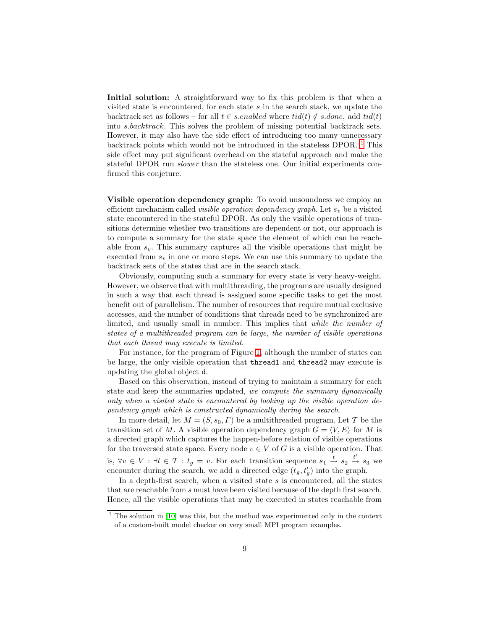Initial solution: A straightforward way to fix this problem is that when a visited state is encountered, for each state s in the search stack, we update the backtrack set as follows – for all  $t \in s$ .enabled where  $tid(t) \notin s$ .done, add  $tid(t)$ into s.backtrack. This solves the problem of missing potential backtrack sets. However, it may also have the side effect of introducing too many unnecessary backtrack points which would not be introduced in the stateless DPOR.  $^1$  $^1$  This side effect may put significant overhead on the stateful approach and make the stateful DPOR run slower than the stateless one. Our initial experiments confirmed this conjeture.

Visible operation dependency graph: To avoid unsoundness we employ an efficient mechanism called *visible operation dependency graph*. Let  $s_v$  be a visited state encountered in the stateful DPOR. As only the visible operations of transitions determine whether two transitions are dependent or not, our approach is to compute a summary for the state space the element of which can be reachable from  $s_v$ . This summary captures all the visible operations that might be executed from  $s_v$  in one or more steps. We can use this summary to update the backtrack sets of the states that are in the search stack.

Obviously, computing such a summary for every state is very heavy-weight. However, we observe that with multithreading, the programs are usually designed in such a way that each thread is assigned some specific tasks to get the most benefit out of parallelism. The number of resources that require mutual exclusive accesses, and the number of conditions that threads need to be synchronized are limited, and usually small in number. This implies that while the number of states of a multithreaded program can be large, the number of visible operations that each thread may execute is limited.

For instance, for the program of Figure [1,](#page-1-0) although the number of states can be large, the only visible operation that thread1 and thread2 may execute is updating the global object d.

Based on this observation, instead of trying to maintain a summary for each state and keep the summaries updated, we compute the summary dynamically only when a visited state is encountered by looking up the visible operation dependency graph which is constructed dynamically during the search.

In more detail, let  $M = (S, s_0, \Gamma)$  be a multithreaded program. Let T be the transition set of M. A visible operation dependency graph  $G = \langle V, E \rangle$  for M is a directed graph which captures the happen-before relation of visible operations for the traversed state space. Every node  $v \in V$  of G is a visible operation. That is,  $\forall v \in V : \exists t \in \mathcal{T} : t_g = v$ . For each transition sequence  $s_1 \stackrel{t}{\rightarrow} s_2 \stackrel{t'}{\rightarrow} s_3$  we encounter during the search, we add a directed edge  $(t_g, t'_g)$  into the graph.

In a depth-first search, when a visited state  $s$  is encountered, all the states that are reachable from s must have been visited because of the depth first search. Hence, all the visible operations that may be executed in states reachable from

<span id="page-8-0"></span> $1$  The solution in [\[10\]](#page-14-9) was this, but the method was experimented only in the context of a custom-built model checker on very small MPI program examples.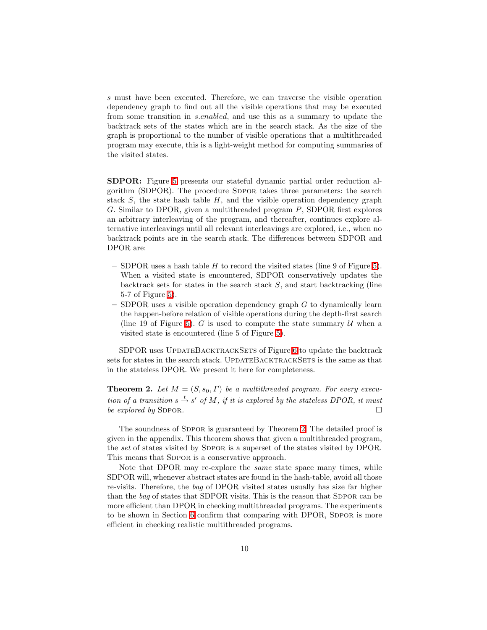s must have been executed. Therefore, we can traverse the visible operation dependency graph to find out all the visible operations that may be executed from some transition in s.enabled, and use this as a summary to update the backtrack sets of the states which are in the search stack. As the size of the graph is proportional to the number of visible operations that a multithreaded program may execute, this is a light-weight method for computing summaries of the visited states.

SDPOR: Figure [5](#page-10-0) presents our stateful dynamic partial order reduction algorithm ( $SDPOR$ ). The procedure  $SDPOR$  takes three parameters: the search stack  $S$ , the state hash table  $H$ , and the visible operation dependency graph G. Similar to DPOR, given a multithreaded program P, SDPOR first explores an arbitrary interleaving of the program, and thereafter, continues explore alternative interleavings until all relevant interleavings are explored, i.e., when no backtrack points are in the search stack. The differences between SDPOR and DPOR are:

- $-$  SDPOR uses a hash table H to record the visited states (line 9 of Figure [5\)](#page-10-0). When a visited state is encountered, SDPOR conservatively updates the backtrack sets for states in the search stack  $S$ , and start backtracking (line 5-7 of Figure [5\)](#page-10-0).
- $-$  SDPOR uses a visible operation dependency graph  $G$  to dynamically learn the happen-before relation of visible operations during the depth-first search (line 19 of Figure [5\)](#page-10-0). G is used to compute the state summary  $U$  when a visited state is encountered (line 5 of Figure [5\)](#page-10-0).

<span id="page-9-0"></span>SDPOR uses UPDATEBACKTRACKSETS of Figure [6](#page-10-1) to update the backtrack sets for states in the search stack. UPDATEBACKTRACKSETS is the same as that in the stateless DPOR. We present it here for completeness.

**Theorem 2.** Let  $M = (S, s_0, \Gamma)$  be a multithreaded program. For every execution of a transition  $s \stackrel{t}{\rightarrow} s'$  of M, if it is explored by the stateless DPOR, it must be explored by SDPOR.  $\Box$ 

The soundness of SDPOR is guaranteed by Theorem [2.](#page-9-0) The detailed proof is given in the appendix. This theorem shows that given a multithreaded program, the set of states visited by SDPOR is a superset of the states visited by DPOR. This means that SDPOR is a conservative approach.

Note that DPOR may re-explore the same state space many times, while SDPOR will, whenever abstract states are found in the hash-table, avoid all those re-visits. Therefore, the bag of DPOR visited states usually has size far higher than the  $baq$  of states that SDPOR visits. This is the reason that SDPOR can be more efficient than DPOR in checking multithreaded programs. The experiments to be shown in Section [6](#page-12-1) confirm that comparing with DPOR, SDPOR is more efficient in checking realistic multithreaded programs.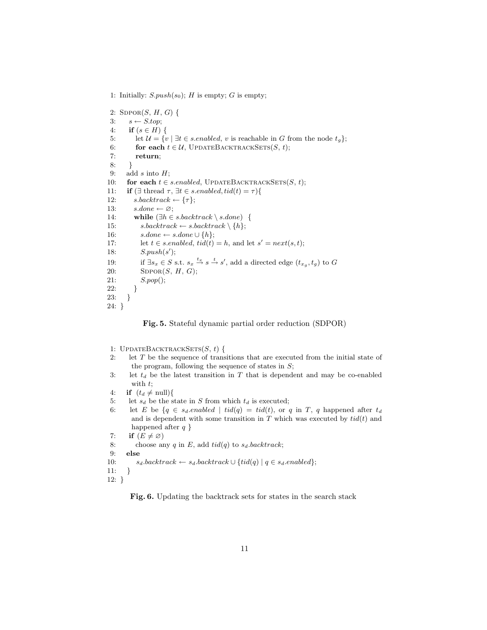1: Initially:  $S.push(s_0)$ ; H is empty; G is empty;

2:  $SDPOR(S, H, G)$  { 3:  $s \leftarrow S.top;$ 4: **if**  $(s \in H)$  { 5: let  $\mathcal{U} = \{v \mid \exists t \in s.\text{enabeled}, v \text{ is reachable in } G \text{ from the node } t_a\};$ 6: for each  $t \in \mathcal{U}$ , UPDATEBACKTRACKSETS(S, t); 7: return; 8: } 9: add s into  $H$ ; 10: for each  $t \in s.enabeled$ , UPDATEBACKTRACKSETS $(S, t)$ ; 11: if  $(\exists \text{ thread } \tau, \exists t \in \text{s. enabled}, tid(t) = \tau)$ 12:  $s.\text{backtrack} \leftarrow \{\tau\};$ 13:  $s.done \leftarrow \varnothing$ ; 14: while  $(\exists h \in s.\text{backtrack} \setminus s.\text{done})$  { 15:  $s.\text{backtrack} \leftarrow \text{s.backtrack} \setminus \{h\};$ 16:  $s.done \leftarrow s.done \cup \{h\};$ 17: let  $t \in s.\n{enabled},\n{tid}(t) = h, \text{ and let } s' = next(s, t);$ 18:  $S.push(s');$ 19: if  $\exists s_x \in S$  s.t.  $s_x \stackrel{t_x}{\to} s \stackrel{t}{\to} s'$ , add a directed edge  $(t_{x_g}, t_g)$  to G 20:  $SDPOR(S, H, G);$ 21:  $S.pop();$  $22:$  } 23: } 24: }

Fig. 5. Stateful dynamic partial order reduction (SDPOR)

```
1: UPDATEBACKTRACKSETS(S, t) {
```
- 2: let T be the sequence of transitions that are executed from the initial state of the program, following the sequence of states in  $S$ ;
- 3: let  $t_d$  be the latest transition in T that is dependent and may be co-enabled with  $t$ ;
- 4: if  $(t_d \neq \text{null})$ {
- 5: let  $s_d$  be the state in S from which  $t_d$  is executed;
- 6: let E be  $\{q \in s_d.\mathit{enabeled} \mid \mathit{tid}(q) = \mathit{tid}(t), \text{ or } q \text{ in } T, q \text{ happened after } t_d\}$ and is dependent with some transition in  $T$  which was executed by  $tid(t)$  and happened after  $q \}$

```
7: if (E \neq \emptyset)
```
8: choose any q in E, add  $tid(q)$  to  $s_d$  backtrack;

```
9: else
```

```
10: s_d.backtrack \leftarrow s_d.backtrack \cup \{tid(q) | q \in s_d.enabeled\};
```
- $11:$  }
- <span id="page-10-1"></span>12: }

Fig. 6. Updating the backtrack sets for states in the search stack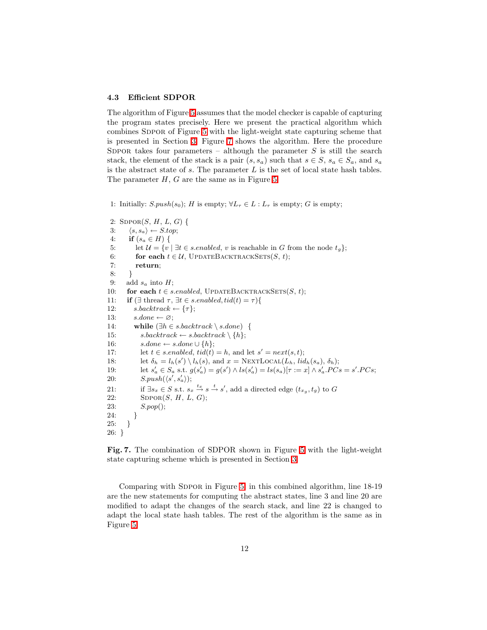#### 4.3 Efficient SDPOR

The algorithm of Figure [5](#page-10-0) assumes that the model checker is capable of capturing the program states precisely. Here we present the practical algorithm which combines SDPOR of Figure [5](#page-10-0) with the light-weight state capturing scheme that is presented in Section [3.](#page-4-0) Figure [7](#page-11-0) shows the algorithm. Here the procedure SDPOR takes four parameters – although the parameter  $S$  is still the search stack, the element of the stack is a pair  $(s, s_a)$  such that  $s \in S$ ,  $s_a \in S_a$ , and  $s_a$ is the abstract state of  $s$ . The parameter  $L$  is the set of local state hash tables. The parameter  $H$ ,  $G$  are the same as in Figure [5.](#page-10-0)

1: Initially:  $S.push(s_0)$ ; H is empty;  $\forall L_{\tau} \in L : L_{\tau}$  is empty; G is empty;

2:  $SDPOR(S, H, L, G)$  { 3:  $\langle s, s_a \rangle \leftarrow S.top;$ 4: **if**  $(s_a \in H)$  { 5: let  $\mathcal{U} = \{v \mid \exists t \in s.\n{enabled}, v \text{ is reachable in } G \text{ from the node } t_a\};$ 6: for each  $t \in \mathcal{U}$ , UPDATEBACKTRACKSETS $(S, t)$ ; 7: return; 8: } 9: add  $s_a$  into  $H$ ; 10: for each  $t \in s.enabeled$ , UPDATEBACKTRACKSETS $(S, t)$ ; 11: if  $(\exists \text{ thread } \tau, \exists t \in \text{s. enabled}, tid(t) = \tau)$ 12:  $s.\text{backtrack} \leftarrow \{\tau\};$ 13:  $s.done \leftarrow \varnothing$ ; 14: while  $(\exists h \in s.\text{backtrack} \setminus s.\text{done})$  { 15:  $s.\text{backtrack} \leftarrow \text{s.backtrack} \setminus \{h\};$ 16:  $s.done \leftarrow s.done \cup \{h\};$ 17: let  $t \in s.\n{enabled},\n{tid}(t) = h, \text{ and let } s' = next(s, t);$ 18: let  $\delta_h = l_h(s') \setminus l_h(s)$ , and  $x = \text{NextLocal}(L_h, lid_h(s_a), \delta_h);$ 19: let  $s'_a \in S_a$  s.t.  $g(s'_a) = g(s') \wedge ls(s'_a) = ls(s_a)[\tau := x] \wedge s'_a \cdot PCs = s' \cdot PCs;$ 20:  $S.push(\langle s', s'_a \rangle);$ 21: if  $\exists s_x \in S \text{ s.t. } s_x \stackrel{t_x}{\rightarrow} s \stackrel{t}{\rightarrow} s'$ , add a directed edge  $(t_{x_g}, t_g)$  to G 22:  $SDPOR(S, H, L, G);$ 23:  $S.pop();$ 24: } 25: } 26: }

<span id="page-11-0"></span>Fig. 7. The combination of SDPOR shown in Figure [5](#page-10-0) with the light-weight state capturing scheme which is presented in Section [3.](#page-4-0)

Comparing with SDPOR in Figure [5,](#page-10-0) in this combined algorithm, line 18-19 are the new statements for computing the abstract states, line 3 and line 20 are modified to adapt the changes of the search stack, and line 22 is changed to adapt the local state hash tables. The rest of the algorithm is the same as in Figure [5.](#page-10-0)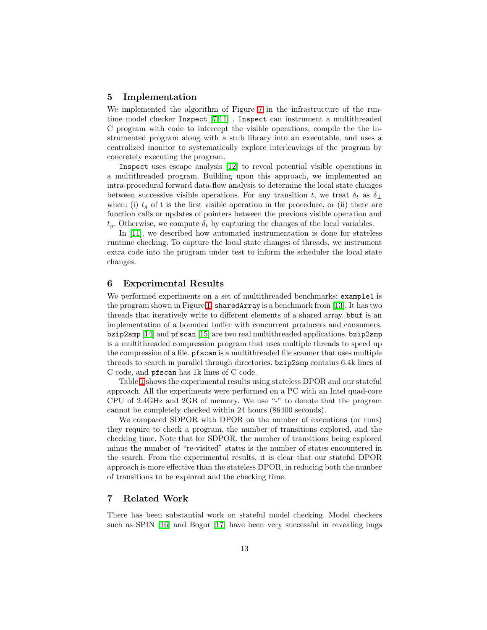### <span id="page-12-0"></span>5 Implementation

We implemented the algorithm of Figure [7](#page-11-0) in the infrastructure of the runtime model checker Inspect [\[7](#page-14-6)[,11\]](#page-14-10) . Inspect can instrument a multithreaded C program with code to intercept the visible operations, compile the the instrumented program along with a stub library into an executable, and uses a centralized monitor to systematically explore interleavings of the program by concretely executing the program.

Inspect uses escape analysis [\[12\]](#page-14-11) to reveal potential visible operations in a multithreaded program. Building upon this approach, we implemented an intra-procedural forward data-flow analysis to determine the local state changes between successive visible operations. For any transition t, we treat  $\delta_t$  as  $\delta_{\perp}$ when: (i)  $t<sub>g</sub>$  of t is the first visible operation in the procedure, or (ii) there are function calls or updates of pointers between the previous visible operation and  $t_q$ . Otherwise, we compute  $\delta_t$  by capturing the changes of the local variables.

In [\[11\]](#page-14-10), we described how automated instrumentation is done for stateless runtime checking. To capture the local state changes of threads, we instrument extra code into the program under test to inform the scheduler the local state changes.

## <span id="page-12-1"></span>6 Experimental Results

We performed experiments on a set of multithreaded benchmarks: example1 is the program shown in Figure [1,](#page-1-0) sharedArray is a benchmark from [\[13\]](#page-14-12). It has two threads that iteratively write to different elements of a shared array. bbuf is an implementation of a bounded buffer with concurrent producers and consumers.  $bzip2smp [14]$  $bzip2smp [14]$  and  $pfscan [15]$  $pfscan [15]$  are two real multithreaded applications.  $bzip2smp$ is a multithreaded compression program that uses multiple threads to speed up the compression of a file. pfscan is a multithreaded file scanner that uses multiple threads to search in parallel through directories. bzip2smp contains 6.4k lines of C code, and pfscan has 1k lines of C code.

Table [1](#page-13-0) shows the experimental results using stateless DPOR and our stateful approach. All the experiments were performed on a PC with an Intel quad-core CPU of 2.4GHz and 2GB of memory. We use "-" to denote that the program cannot be completely checked within 24 hours (86400 seconds).

We compared SDPOR with DPOR on the number of executions (or runs) they require to check a program, the number of transitions explored, and the checking time. Note that for SDPOR, the number of transitions being explored minus the number of "re-visited" states is the number of states encountered in the search. From the experimental results, it is clear that our stateful DPOR approach is more effective than the stateless DPOR, in reducing both the number of transitions to be explored and the checking time.

# 7 Related Work

There has been substantial work on stateful model checking. Model checkers such as SPIN [\[16\]](#page-14-15) and Bogor [\[17\]](#page-14-16) have been very successful in revealing bugs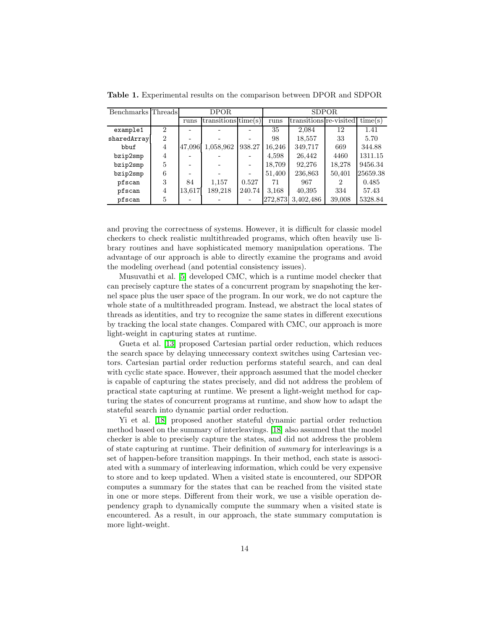| Benchmarks Threads |                             | <b>DPOR</b>              |                    |          | <b>SDPOR</b> |                                    |        |          |
|--------------------|-----------------------------|--------------------------|--------------------|----------|--------------|------------------------------------|--------|----------|
|                    |                             | runs                     | transitionstime(s) |          | runs         | $transitions$ re-visited $time(s)$ |        |          |
| example1           | $\mathcal{D}_{\mathcal{L}}$ | $\overline{\phantom{0}}$ |                    |          | 35           | 2,084                              | 12     | 1.41     |
| sharedArray        | $\overline{2}$              |                          |                    |          | 98           | 18,557                             | 33     | 5.70     |
| bbuf               | 4                           | 47,096                   | 1,058,962          | 938.27   | 16,246       | 349,717                            | 669    | 344.88   |
| bzip2smp           | 4                           |                          |                    |          | 4,598        | 26.442                             | 4460   | 1311.15  |
| bzip2smp           | 5                           |                          |                    | $\equiv$ | 18,709       | 92.276                             | 18,278 | 9456.34  |
| bzip2smp           | 6                           | -                        |                    |          | 51,400       | 236,863                            | 50,401 | 25659.38 |
| pfscan             | 3                           | 84                       | 1,157              | 0.527    | 71           | 967                                | 2      | 0.485    |
| pfscan             | 4                           | 13,617                   | 189,218            | 240.74   | 3,168        | 40,395                             | 334    | 57.43    |
| pfscan             | 5                           |                          |                    |          | 272,873      | 3,402,486                          | 39,008 | 5328.84  |

<span id="page-13-0"></span>Table 1. Experimental results on the comparison between DPOR and SDPOR

and proving the correctness of systems. However, it is difficult for classic model checkers to check realistic multithreaded programs, which often heavily use library routines and have sophisticated memory manipulation operations. The advantage of our approach is able to directly examine the programs and avoid the modeling overhead (and potential consistency issues).

Musuvathi et al. [\[5\]](#page-14-4) developed CMC, which is a runtime model checker that can precisely capture the states of a concurrent program by snapshoting the kernel space plus the user space of the program. In our work, we do not capture the whole state of a multithreaded program. Instead, we abstract the local states of threads as identities, and try to recognize the same states in different executions by tracking the local state changes. Compared with CMC, our approach is more light-weight in capturing states at runtime.

Gueta et al. [\[13\]](#page-14-12) proposed Cartesian partial order reduction, which reduces the search space by delaying unnecessary context switches using Cartesian vectors. Cartesian partial order reduction performs stateful search, and can deal with cyclic state space. However, their approach assumed that the model checker is capable of capturing the states precisely, and did not address the problem of practical state capturing at runtime. We present a light-weight method for capturing the states of concurrent programs at runtime, and show how to adapt the stateful search into dynamic partial order reduction.

Yi et al. [\[18\]](#page-15-0) proposed another stateful dynamic partial order reduction method based on the summary of interleavings. [\[18\]](#page-15-0) also assumed that the model checker is able to precisely capture the states, and did not address the problem of state capturing at runtime. Their definition of summary for interleavings is a set of happen-before transition mappings. In their method, each state is associated with a summary of interleaving information, which could be very expensive to store and to keep updated. When a visited state is encountered, our SDPOR computes a summary for the states that can be reached from the visited state in one or more steps. Different from their work, we use a visible operation dependency graph to dynamically compute the summary when a visited state is encountered. As a result, in our approach, the state summary computation is more light-weight.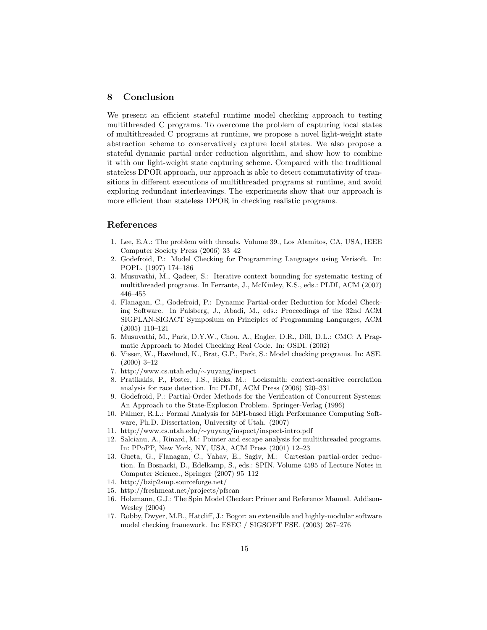# 8 Conclusion

We present an efficient stateful runtime model checking approach to testing multithreaded C programs. To overcome the problem of capturing local states of multithreaded C programs at runtime, we propose a novel light-weight state abstraction scheme to conservatively capture local states. We also propose a stateful dynamic partial order reduction algorithm, and show how to combine it with our light-weight state capturing scheme. Compared with the traditional stateless DPOR approach, our approach is able to detect commutativity of transitions in different executions of multithreaded programs at runtime, and avoid exploring redundant interleavings. The experiments show that our approach is more efficient than stateless DPOR in checking realistic programs.

# <span id="page-14-0"></span>References

- <span id="page-14-1"></span>1. Lee, E.A.: The problem with threads. Volume 39., Los Alamitos, CA, USA, IEEE Computer Society Press (2006) 33–42
- 2. Godefroid, P.: Model Checking for Programming Languages using Verisoft. In: POPL. (1997) 174–186
- <span id="page-14-2"></span>3. Musuvathi, M., Qadeer, S.: Iterative context bounding for systematic testing of multithreaded programs. In Ferrante, J., McKinley, K.S., eds.: PLDI, ACM (2007) 446–455
- <span id="page-14-3"></span>4. Flanagan, C., Godefroid, P.: Dynamic Partial-order Reduction for Model Checking Software. In Palsberg, J., Abadi, M., eds.: Proceedings of the 32nd ACM SIGPLAN-SIGACT Symposium on Principles of Programming Languages, ACM (2005) 110–121
- <span id="page-14-4"></span>5. Musuvathi, M., Park, D.Y.W., Chou, A., Engler, D.R., Dill, D.L.: CMC: A Pragmatic Approach to Model Checking Real Code. In: OSDI. (2002)
- <span id="page-14-5"></span>6. Visser, W., Havelund, K., Brat, G.P., Park, S.: Model checking programs. In: ASE. (2000) 3–12
- <span id="page-14-7"></span><span id="page-14-6"></span>7. http://www.cs.utah.edu/∼yuyang/inspect
- 8. Pratikakis, P., Foster, J.S., Hicks, M.: Locksmith: context-sensitive correlation analysis for race detection. In: PLDI, ACM Press (2006) 320–331
- <span id="page-14-8"></span>9. Godefroid, P.: Partial-Order Methods for the Verification of Concurrent Systems: An Approach to the State-Explosion Problem. Springer-Verlag (1996)
- <span id="page-14-9"></span>10. Palmer, R.L.: Formal Analysis for MPI-based High Performance Computing Software, Ph.D. Dissertation, University of Utah. (2007)
- <span id="page-14-11"></span><span id="page-14-10"></span>11. http://www.cs.utah.edu/∼yuyang/inspect/inspect-intro.pdf
- 12. Salcianu, A., Rinard, M.: Pointer and escape analysis for multithreaded programs. In: PPoPP, New York, NY, USA, ACM Press (2001) 12–23
- <span id="page-14-12"></span>13. Gueta, G., Flanagan, C., Yahav, E., Sagiv, M.: Cartesian partial-order reduction. In Bosnacki, D., Edelkamp, S., eds.: SPIN. Volume 4595 of Lecture Notes in Computer Science., Springer (2007) 95–112
- <span id="page-14-14"></span><span id="page-14-13"></span>14. http://bzip2smp.sourceforge.net/
- <span id="page-14-15"></span>15. http://freshmeat.net/projects/pfscan
- 16. Holzmann, G.J.: The Spin Model Checker: Primer and Reference Manual. Addison-Wesley (2004)
- <span id="page-14-16"></span>17. Robby, Dwyer, M.B., Hatcliff, J.: Bogor: an extensible and highly-modular software model checking framework. In: ESEC / SIGSOFT FSE. (2003) 267–276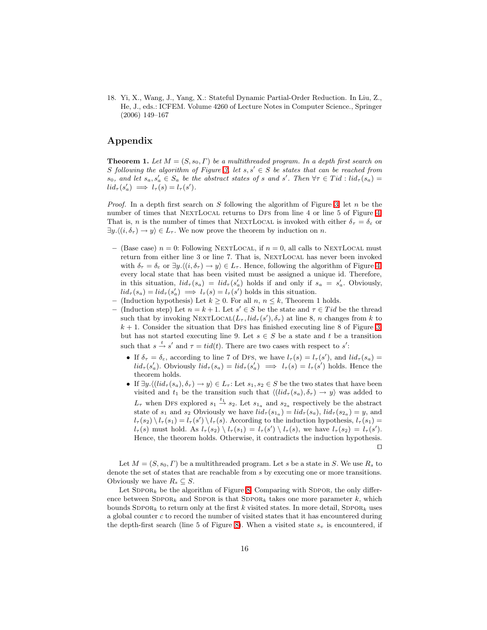<span id="page-15-0"></span>18. Yi, X., Wang, J., Yang, X.: Stateful Dynamic Partial-Order Reduction. In Liu, Z., He, J., eds.: ICFEM. Volume 4260 of Lecture Notes in Computer Science., Springer (2006) 149–167

# Appendix

**Theorem 1.** Let  $M = (S, s_0, \Gamma)$  be a multithreaded program. In a depth first search on S following the algorithm of Figure [3,](#page-6-1) let  $s, s' \in S$  be states that can be reached from  $s_0$ , and let  $s_a, s'_a \in S_a$  be the abstract states of s and s'. Then  $\forall \tau \in Tid : lid_\tau(s_a) =$  $lid_\tau(s'_a) \implies l_\tau(s) = l_\tau(s').$ 

*Proof.* In a depth first search on S following the algorithm of Figure [3,](#page-6-1) let n be the number of times that NEXTLOCAL returns to DFS from line 4 or line 5 of Figure [4.](#page-6-2) That is, n is the number of times that NEXTLOCAL is invoked with either  $\delta_{\tau} = \delta_{\varepsilon}$  or  $\exists y \, \langle (i, \delta_{\tau}) \to y \rangle \in L_{\tau}$ . We now prove the theorem by induction on n.

- (Base case)  $n = 0$ : Following NEXTLOCAL, if  $n = 0$ , all calls to NEXTLOCAL must return from either line 3 or line 7. That is, NEXTLOCAL has never been invoked with  $\delta_{\tau} = \delta_{\varepsilon}$  or  $\exists y \cdot \langle (i, \delta_{\tau}) \to y \rangle \in L_{\tau}$ . Hence, following the algorithm of Figure [4,](#page-6-2) every local state that has been visited must be assigned a unique id. Therefore, in this situation,  $lid_\tau(s_a) = lid_\tau(s'_a)$  holds if and only if  $s_a = s'_a$ . Obviously,  $lid_\tau(s_a) = lid_\tau(s'_a) \implies l_\tau(s) = l_\tau(s')$  holds in this situation.
- (Induction hypothesis) Let  $k \geq 0$ . For all  $n, n \leq k$ , Theorem 1 holds.
- (Induction step) Let  $n = k + 1$ . Let  $s' \in S$  be the state and  $\tau \in Tid$  be the thread such that by invoking  $NextLocal(L_{\tau}, lid_{\tau}(s'), \delta_{\tau})$  at line 8, n changes from k to  $k + 1$ . Consider the situation that DFS has finished executing line 8 of Figure [3,](#page-6-1) but has not started executing line 9. Let  $s \in S$  be a state and t be a transition such that  $s \stackrel{t}{\rightarrow} s'$  and  $\tau = tid(t)$ . There are two cases with respect to  $s'$ :
	- If  $\delta_{\tau} = \delta_{\epsilon}$ , according to line 7 of DFS, we have  $l_{\tau}(s) = l_{\tau}(s')$ , and  $lid_{\tau}(s_a) =$  $lid_\tau(s'_a)$ . Obviously  $lid_\tau(s_a) = lid_\tau(s'_a) \implies l_\tau(s) = l_\tau(s')$  holds. Hence the theorem holds.
	- If  $\exists y. \langle (lid_\tau (s_a), \delta_\tau) \to y \rangle \in L_\tau$ : Let  $s_1, s_2 \in S$  be the two states that have been visited and  $t_1$  be the transition such that  $\langle (lid_\tau (s_a), \delta_\tau) \rightarrow y \rangle$  was added to  $L_{\tau}$  when DFS explored  $s_1 \stackrel{t_1}{\rightarrow} s_2$ . Let  $s_{1_a}$  and  $s_{2_a}$  respectively be the abstract state of  $s_1$  and  $s_2$  Obviously we have  $lid_\tau(s_{1_a}) = lid_\tau(s_a)$ ,  $lid_\tau(s_{2_a}) = y$ , and  $l_{\tau}(s_2) \setminus l_{\tau}(s_1) = l_{\tau}(s') \setminus l_{\tau}(s)$ . According to the induction hypothesis,  $l_{\tau}(s_1) =$  $l_{\tau}(s)$  must hold. As  $l_{\tau}(s_2) \setminus l_{\tau}(s_1) = l_{\tau}(s') \setminus l_{\tau}(s)$ , we have  $l_{\tau}(s_2) = l_{\tau}(s')$ . Hence, the theorem holds. Otherwise, it contradicts the induction hypothesis.  $\Box$

Let  $M = (S, s_0, \Gamma)$  be a multithreaded program. Let s be a state in S. We use  $R_s$  to denote the set of states that are reachable from s by executing one or more transitions. Obviously we have  $R_s \subseteq S$ .

Let  $SDPOR_k$  be the algorithm of Figure [8.](#page-16-0) Comparing with SDPOR, the only difference between  $SDPOR_k$  and  $SDPOR$  is that  $SDPOR_k$  takes one more parameter k, which bounds  $\text{SDPOR}_k$  to return only at the first k visited states. In more detail,  $\text{SDPOR}_k$  uses a global counter  $c$  to record the number of visited states that it has encountered during the depth-first search (line 5 of Figure [8\)](#page-16-0). When a visited state  $s_v$  is encountered, if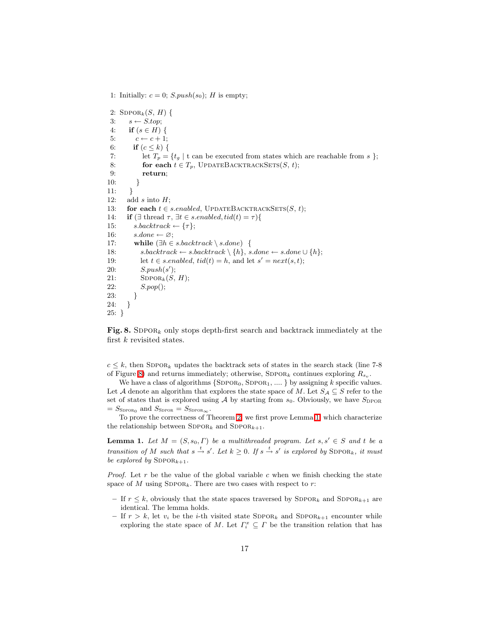1: Initially:  $c = 0$ ;  $S.push(s_0)$ ; H is empty;

2:  $\text{SDPOR}_k(S, H)$  { 3:  $s \leftarrow S.top;$ 4: **if**  $(s \in H)$  { 5:  $c \leftarrow c + 1$ ; 6: **if**  $(c \leq k)$  { 7: let  $T_p = \{t_g | t \text{ can be executed from states which are reachable from } s \};$ 8: for each  $t \in T_p$ , UPDATEBACKTRACKSETS $(S, t)$ ; 9: return; 10: } 11: } 12: add s into  $H$ ; 13: for each  $t \in s.enabeled$ , UPDATEBACKTRACKSETS $(S, t)$ ; 14: if  $(\exists \text{ thread } \tau, \exists t \in \text{s. enabled}, tid(t) = \tau)$ 15:  $s.\text{backtrack} \leftarrow \{\tau\};$ 16:  $s.done \leftarrow \varnothing$ ; 17: while  $(\exists h \in s \text{.} \text{backtrack} \setminus s \text{.} \text{done})$  { 18:  $s.\text{backtrack} \leftarrow \text{shacktrack} \{h\}, \text{ } s.\text{done} \leftarrow s.\text{done} \cup \{h\};$ 19: let  $t \in s.\n{enabled},\n{tid}(t) = h, \n{and let } s' = next(s, t);$ 20:  $S.push(s');$ 21:  $\text{SDPOR}_k(S, H);$ 22:  $S.pop();$ 23: } 24: } 25: }

<span id="page-16-0"></span>Fig. 8. SDPOR<sub>k</sub> only stops depth-first search and backtrack immediately at the first *k* revisited states.

 $c \leq k$ , then SDPOR<sub>k</sub> updates the backtrack sets of states in the search stack (line 7-8) of Figure [8\)](#page-16-0) and returns immediately; otherwise,  $SDPOR_k$  continues exploring  $R_{s_v}$ .

We have a class of algorithms  $\{SDPOR_0, SDPOR_1, \dots\}$  by assigning k specific values. Let A denote an algorithm that explores the state space of M. Let  $S_A \subseteq S$  refer to the set of states that is explored using  $A$  by starting from  $s_0$ . Obviously, we have  $S_{\text{DPOR}}$  $= S_{\text{SDPOR}_0}$  and  $S_{\text{SDPOR}} = S_{\text{SDPOR}_{\infty}}$ .

<span id="page-16-1"></span>To prove the correctness of Theorem [2,](#page-9-0) we first prove Lemma [1,](#page-16-1) which characterize the relationship between  $SDPOR_k$  and  $SDPOR_{k+1}$ .

**Lemma 1.** Let  $M = (S, s_0, \Gamma)$  be a multithreaded program. Let  $s, s' \in S$  and t be a transition of M such that  $s \stackrel{t}{\rightarrow} s'$ . Let  $k \geq 0$ . If  $s \stackrel{t}{\rightarrow} s'$  is explored by SDPOR<sub>k</sub>, it must be explored by  $SDPOR_{k+1}$ .

*Proof.* Let r be the value of the global variable c when we finish checking the state space of M using  $SDPOR_k$ . There are two cases with respect to r:

- If  $r \leq k$ , obviously that the state spaces traversed by SDPOR<sub>k</sub> and SDPOR<sub>k+1</sub> are identical. The lemma holds.
- If  $r > k$ , let  $v_i$  be the *i*-th visited state SDPOR<sub>k</sub> and SDPOR<sub>k+1</sub> encounter while exploring the state space of M. Let  $\Gamma_i^x \subseteq \Gamma$  be the transition relation that has